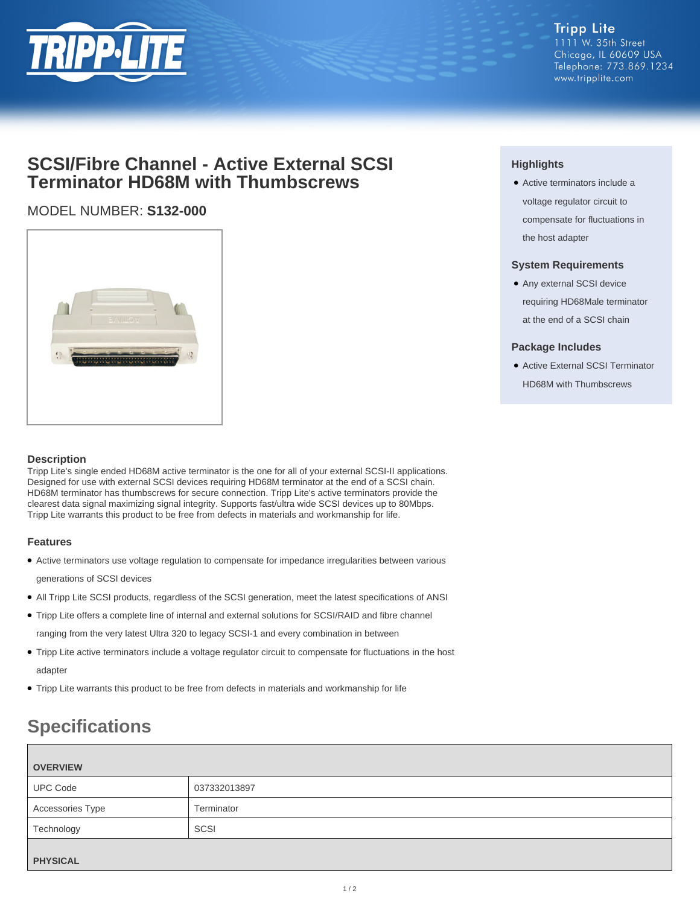

# **SCSI/Fibre Channel - Active External SCSI Terminator HD68M with Thumbscrews**

## MODEL NUMBER: **S132-000**



### **Description**

Tripp Lite's single ended HD68M active terminator is the one for all of your external SCSI-II applications. Designed for use with external SCSI devices requiring HD68M terminator at the end of a SCSI chain. HD68M terminator has thumbscrews for secure connection. Tripp Lite's active terminators provide the clearest data signal maximizing signal integrity. Supports fast/ultra wide SCSI devices up to 80Mbps. Tripp Lite warrants this product to be free from defects in materials and workmanship for life.

#### **Features**

- Active terminators use voltage regulation to compensate for impedance irregularities between various generations of SCSI devices
- All Tripp Lite SCSI products, regardless of the SCSI generation, meet the latest specifications of ANSI
- Tripp Lite offers a complete line of internal and external solutions for SCSI/RAID and fibre channel ranging from the very latest Ultra 320 to legacy SCSI-1 and every combination in between
- Tripp Lite active terminators include a voltage regulator circuit to compensate for fluctuations in the host adapter
- Tripp Lite warrants this product to be free from defects in materials and workmanship for life

# **Specifications**

| <b>OVERVIEW</b>  |              |
|------------------|--------------|
| <b>UPC Code</b>  | 037332013897 |
| Accessories Type | Terminator   |
| Technology       | SCSI         |
| <b>PHYSICAL</b>  |              |

### **Highlights**

• Active terminators include a voltage regulator circuit to compensate for fluctuations in the host adapter

### **System Requirements**

● Any external SCSI device requiring HD68Male terminator at the end of a SCSI chain

### **Package Includes**

● Active External SCSI Terminator HD68M with Thumbscrews